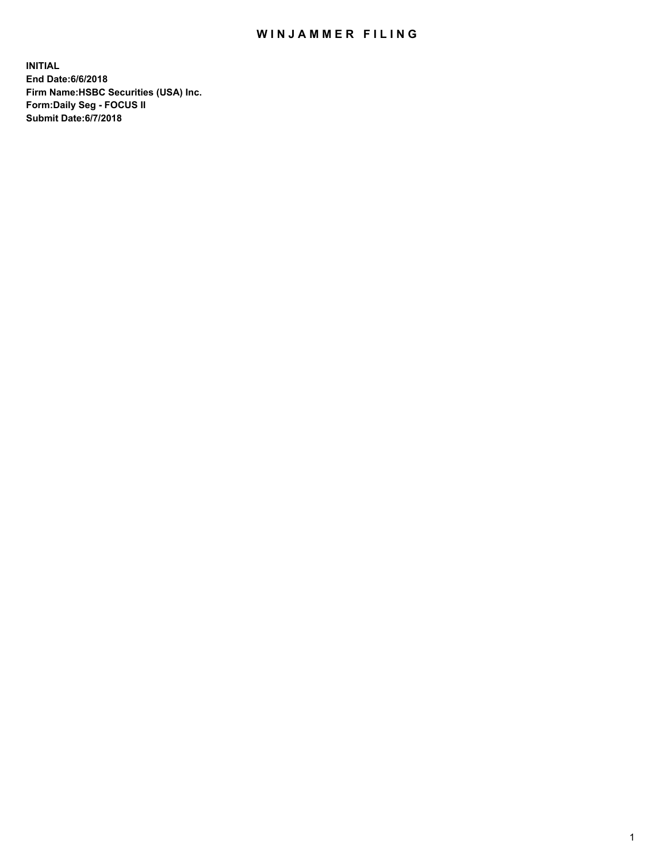## WIN JAMMER FILING

**INITIAL End Date:6/6/2018 Firm Name:HSBC Securities (USA) Inc. Form:Daily Seg - FOCUS II Submit Date:6/7/2018**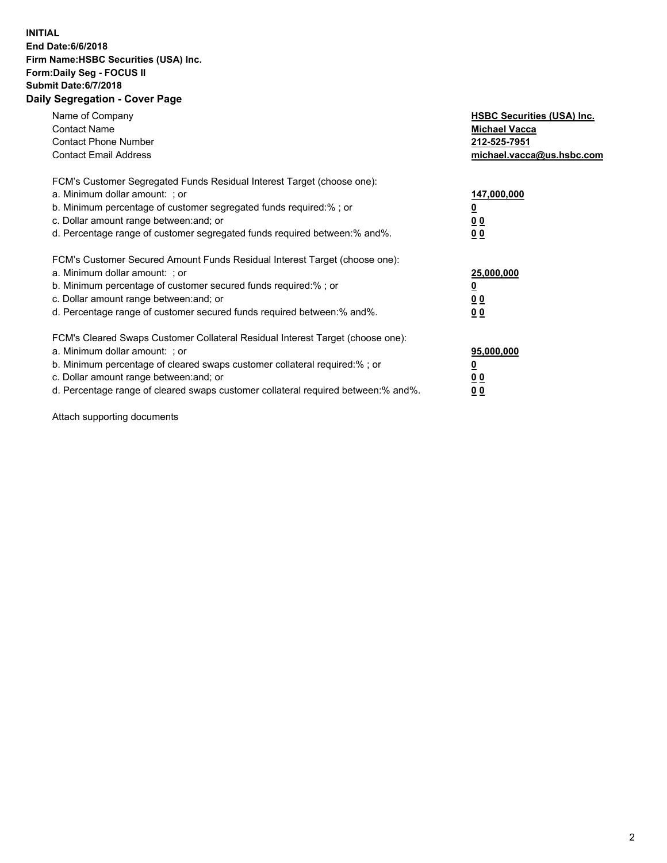## **INITIAL End Date:6/6/2018 Firm Name:HSBC Securities (USA) Inc. Form:Daily Seg - FOCUS II Submit Date:6/7/2018 Daily Segregation - Cover Page**

| Name of Company<br><b>Contact Name</b><br><b>Contact Phone Number</b><br><b>Contact Email Address</b>                                                                                                                                                                                                                         | <b>HSBC Securities (USA) Inc.</b><br><b>Michael Vacca</b><br>212-525-7951<br>michael.vacca@us.hsbc.com |
|-------------------------------------------------------------------------------------------------------------------------------------------------------------------------------------------------------------------------------------------------------------------------------------------------------------------------------|--------------------------------------------------------------------------------------------------------|
| FCM's Customer Segregated Funds Residual Interest Target (choose one):<br>a. Minimum dollar amount: ; or<br>b. Minimum percentage of customer segregated funds required:%; or<br>c. Dollar amount range between: and; or<br>d. Percentage range of customer segregated funds required between: % and %.                       | 147,000,000<br><u>0</u><br><u>00</u><br><u>00</u>                                                      |
| FCM's Customer Secured Amount Funds Residual Interest Target (choose one):<br>a. Minimum dollar amount: ; or<br>b. Minimum percentage of customer secured funds required:%; or<br>c. Dollar amount range between: and; or<br>d. Percentage range of customer secured funds required between: % and %.                         | 25,000,000<br><u>0</u><br><u>00</u><br>00                                                              |
| FCM's Cleared Swaps Customer Collateral Residual Interest Target (choose one):<br>a. Minimum dollar amount: ; or<br>b. Minimum percentage of cleared swaps customer collateral required:%; or<br>c. Dollar amount range between: and; or<br>d. Percentage range of cleared swaps customer collateral required between:% and%. | 95,000,000<br><u>0</u><br><u>00</u><br><u>00</u>                                                       |

Attach supporting documents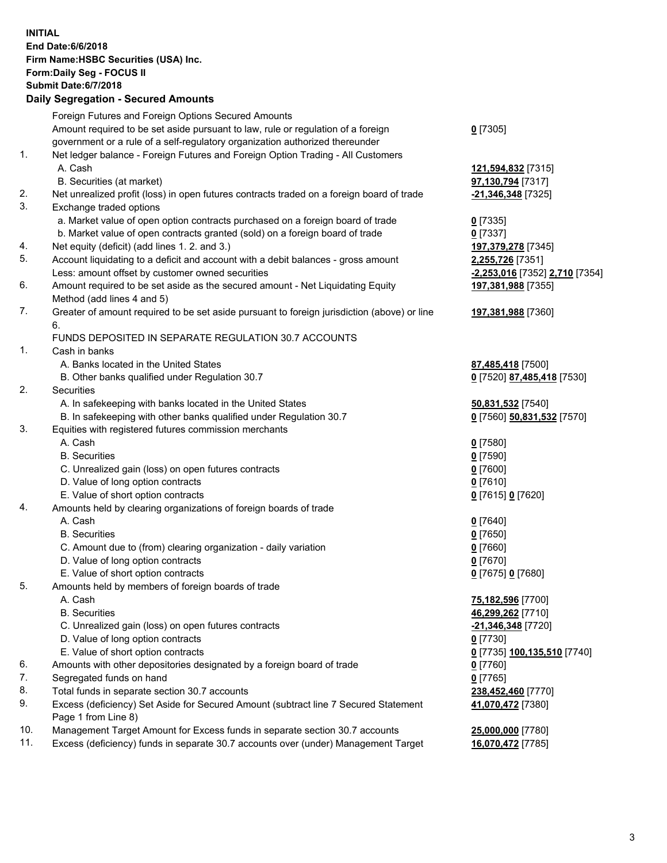**INITIAL End Date:6/6/2018 Firm Name:HSBC Securities (USA) Inc. Form:Daily Seg - FOCUS II Submit Date:6/7/2018 Daily Segregation - Secured Amounts** Foreign Futures and Foreign Options Secured Amounts Amount required to be set aside pursuant to law, rule or regulation of a foreign government or a rule of a self-regulatory organization authorized thereunder **0** [7305] 1. Net ledger balance - Foreign Futures and Foreign Option Trading - All Customers A. Cash **121,594,832** [7315] B. Securities (at market) **97,130,794** [7317] 2. Net unrealized profit (loss) in open futures contracts traded on a foreign board of trade **-21,346,348** [7325] 3. Exchange traded options a. Market value of open option contracts purchased on a foreign board of trade **0** [7335] b. Market value of open contracts granted (sold) on a foreign board of trade **0** [7337] 4. Net equity (deficit) (add lines 1. 2. and 3.) **197,379,278** [7345] 5. Account liquidating to a deficit and account with a debit balances - gross amount **2,255,726** [7351] Less: amount offset by customer owned securities **-2,253,016** [7352] **2,710** [7354] 6. Amount required to be set aside as the secured amount - Net Liquidating Equity Method (add lines 4 and 5) **197,381,988** [7355] 7. Greater of amount required to be set aside pursuant to foreign jurisdiction (above) or line 6. **197,381,988** [7360] FUNDS DEPOSITED IN SEPARATE REGULATION 30.7 ACCOUNTS 1. Cash in banks A. Banks located in the United States **87,485,418** [7500] B. Other banks qualified under Regulation 30.7 **0** [7520] **87,485,418** [7530] 2. Securities A. In safekeeping with banks located in the United States **50,831,532** [7540] B. In safekeeping with other banks qualified under Regulation 30.7 **0** [7560] **50,831,532** [7570] 3. Equities with registered futures commission merchants A. Cash **0** [7580] B. Securities **0** [7590] C. Unrealized gain (loss) on open futures contracts **0** [7600] D. Value of long option contracts **0** [7610] E. Value of short option contracts **0** [7615] **0** [7620] 4. Amounts held by clearing organizations of foreign boards of trade A. Cash **0** [7640] B. Securities **0** [7650] C. Amount due to (from) clearing organization - daily variation **0** [7660] D. Value of long option contracts **0** [7670] E. Value of short option contracts **0** [7675] **0** [7680] 5. Amounts held by members of foreign boards of trade A. Cash **75,182,596** [7700] B. Securities **46,299,262** [7710] C. Unrealized gain (loss) on open futures contracts **-21,346,348** [7720] D. Value of long option contracts **0** [7730] E. Value of short option contracts **0** [7735] **100,135,510** [7740] 6. Amounts with other depositories designated by a foreign board of trade **0** [7760] 7. Segregated funds on hand **0** [7765] 8. Total funds in separate section 30.7 accounts **238,452,460** [7770] 9. Excess (deficiency) Set Aside for Secured Amount (subtract line 7 Secured Statement Page 1 from Line 8) **41,070,472** [7380] 10. Management Target Amount for Excess funds in separate section 30.7 accounts **25,000,000** [7780] 11. Excess (deficiency) funds in separate 30.7 accounts over (under) Management Target **16,070,472** [7785]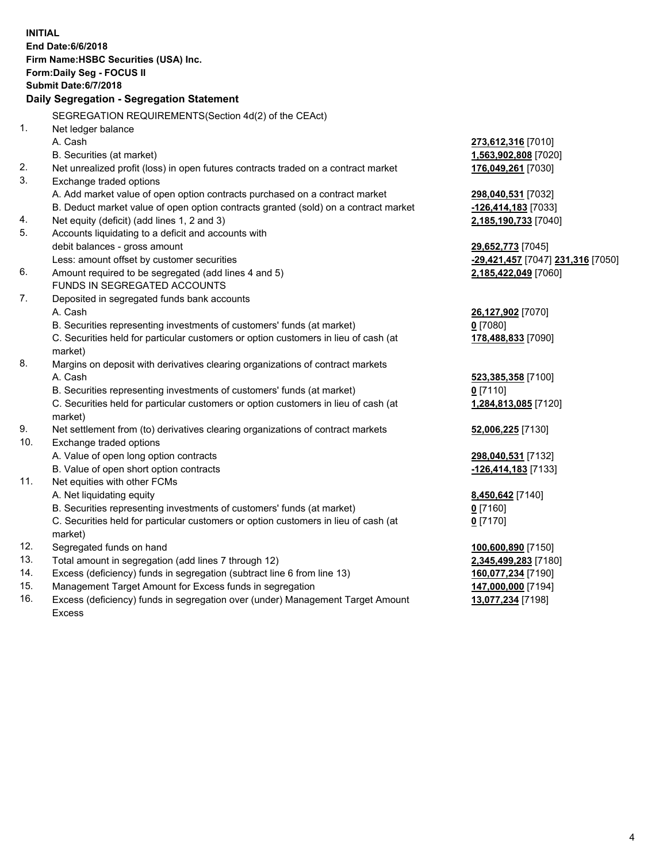| <b>INITIAL</b><br>End Date:6/6/2018<br>Firm Name: HSBC Securities (USA) Inc. |                                                                                                |                                   |  |  |  |  |
|------------------------------------------------------------------------------|------------------------------------------------------------------------------------------------|-----------------------------------|--|--|--|--|
|                                                                              | Form: Daily Seg - FOCUS II                                                                     |                                   |  |  |  |  |
|                                                                              | <b>Submit Date:6/7/2018</b>                                                                    |                                   |  |  |  |  |
|                                                                              | Daily Segregation - Segregation Statement                                                      |                                   |  |  |  |  |
|                                                                              | SEGREGATION REQUIREMENTS(Section 4d(2) of the CEAct)                                           |                                   |  |  |  |  |
| 1.                                                                           | Net ledger balance                                                                             |                                   |  |  |  |  |
|                                                                              | A. Cash                                                                                        | 273,612,316 [7010]                |  |  |  |  |
|                                                                              | B. Securities (at market)                                                                      | 1,563,902,808 [7020]              |  |  |  |  |
| 2.                                                                           | Net unrealized profit (loss) in open futures contracts traded on a contract market             | 176,049,261 [7030]                |  |  |  |  |
| 3.                                                                           | Exchange traded options                                                                        |                                   |  |  |  |  |
|                                                                              | A. Add market value of open option contracts purchased on a contract market                    | 298,040,531 [7032]                |  |  |  |  |
|                                                                              | B. Deduct market value of open option contracts granted (sold) on a contract market            | -126,414,183 [7033]               |  |  |  |  |
| 4.                                                                           | Net equity (deficit) (add lines 1, 2 and 3)                                                    | 2,185,190,733 [7040]              |  |  |  |  |
| 5.                                                                           | Accounts liquidating to a deficit and accounts with                                            |                                   |  |  |  |  |
|                                                                              | debit balances - gross amount                                                                  | 29,652,773 [7045]                 |  |  |  |  |
|                                                                              | Less: amount offset by customer securities                                                     | -29,421,457 [7047] 231,316 [7050] |  |  |  |  |
| 6.                                                                           | Amount required to be segregated (add lines 4 and 5)                                           | 2,185,422,049 [7060]              |  |  |  |  |
|                                                                              | FUNDS IN SEGREGATED ACCOUNTS                                                                   |                                   |  |  |  |  |
| 7.                                                                           | Deposited in segregated funds bank accounts                                                    |                                   |  |  |  |  |
|                                                                              | A. Cash                                                                                        | 26,127,902 [7070]                 |  |  |  |  |
|                                                                              | B. Securities representing investments of customers' funds (at market)                         | $0$ [7080]                        |  |  |  |  |
|                                                                              | C. Securities held for particular customers or option customers in lieu of cash (at<br>market) | 178,488,833 [7090]                |  |  |  |  |
| 8.                                                                           | Margins on deposit with derivatives clearing organizations of contract markets                 |                                   |  |  |  |  |
|                                                                              | A. Cash                                                                                        | 523,385,358 [7100]                |  |  |  |  |
|                                                                              | B. Securities representing investments of customers' funds (at market)                         | $0$ [7110]                        |  |  |  |  |
|                                                                              | C. Securities held for particular customers or option customers in lieu of cash (at<br>market) | 1,284,813,085 [7120]              |  |  |  |  |
| 9.                                                                           | Net settlement from (to) derivatives clearing organizations of contract markets                | 52,006,225 [7130]                 |  |  |  |  |
| 10.                                                                          | Exchange traded options                                                                        |                                   |  |  |  |  |
|                                                                              | A. Value of open long option contracts                                                         | 298,040,531 [7132]                |  |  |  |  |
|                                                                              | B. Value of open short option contracts                                                        | -126,414,183 [7133]               |  |  |  |  |
| 11.                                                                          | Net equities with other FCMs                                                                   |                                   |  |  |  |  |
|                                                                              | A. Net liquidating equity                                                                      | 8,450,642 [7140]                  |  |  |  |  |
|                                                                              | B. Securities representing investments of customers' funds (at market)                         | 0 [7160]                          |  |  |  |  |
|                                                                              | C. Securities held for particular customers or option customers in lieu of cash (at            | $0$ [7170]                        |  |  |  |  |
|                                                                              | market)                                                                                        |                                   |  |  |  |  |
| 12.                                                                          | Segregated funds on hand                                                                       | 100,600,890 [7150]                |  |  |  |  |
| 13.                                                                          | Total amount in segregation (add lines 7 through 12)                                           | 2,345,499,283 [7180]              |  |  |  |  |
| 14.                                                                          | Excess (deficiency) funds in segregation (subtract line 6 from line 13)                        | 160,077,234 [7190]                |  |  |  |  |
| 15.                                                                          | Management Target Amount for Excess funds in segregation                                       | 147,000,000 [7194]                |  |  |  |  |

16. Excess (deficiency) funds in segregation over (under) Management Target Amount Excess

**13,077,234** [7198]